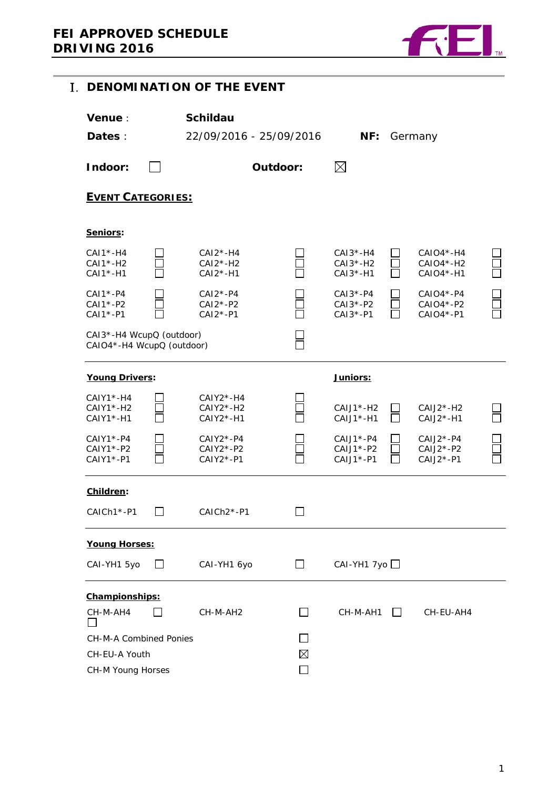

<span id="page-0-0"></span>

|                                                       |  | I. DENOMINATION OF THE EVENT               |                   |                                          |                              |                                         |  |
|-------------------------------------------------------|--|--------------------------------------------|-------------------|------------------------------------------|------------------------------|-----------------------------------------|--|
| <b>Venue:</b><br>Dates :                              |  | <b>Schildau</b><br>22/09/2016 - 25/09/2016 |                   | NF:                                      |                              | Germany                                 |  |
| Indoor:                                               |  |                                            | Outdoor:          | $\boxtimes$                              |                              |                                         |  |
| <b>EVENT CATEGORIES:</b>                              |  |                                            |                   |                                          |                              |                                         |  |
| Seniors:                                              |  |                                            |                   |                                          |                              |                                         |  |
| $CAI*-H4$<br>$CAI*-H2$<br>CAI1*-H1                    |  | $CAI2*-H4$<br>$CAI2*-H2$<br>$CAI2*-H1$     | Г                 | $CAI3*-H4$<br>$CAI3*-H2$<br>$CAI3* - H1$ |                              | CAIO4*-H4<br>CAIO4*-H2<br>CAIO4*-H1     |  |
| $CAI* - P4$<br>$CAI*-P2$<br>CAI1*-P1                  |  | $CAI2*-P4$<br>$CAI2*-P2$<br>$CAI2*-P1$     | $\overline{\Box}$ | $CAI3*-P4$<br>$CAI3*-P2$<br>$CAI3*-P1$   |                              | $CAIO4*-P4$<br>$CAIO4*-P2$<br>CAIO4*-P1 |  |
| CAI3*-H4 WcupQ (outdoor)<br>CAIO4*-H4 WcupQ (outdoor) |  |                                            |                   |                                          |                              |                                         |  |
| Young Drivers:                                        |  |                                            |                   | <u>Juniors:</u>                          |                              |                                         |  |
| $CAIY1*-H4$<br>$CAIY1*-H2$<br>CAIY1 *- H1             |  | $CAIY2*-H4$<br>CAIY2*-H2<br>$CAIY2* - H1$  |                   | $CAJJ^*-H2$<br>CAIJ1*-H1                 | $\mathsf{L}$<br>$\mathbf{I}$ | $CAJ2*-H2$<br>CAIJ2*-H1                 |  |
| $CAIY1*-P4$<br>$CAIY1*-P2$<br>CAIY1*-P1               |  | $CAIY2*-P4$<br>CAIY2*-P2<br>$CAIY2*-P1$    |                   | $CAJJ^* - P4$<br>CAIJ1*-P2<br>$CAJJ*-P1$ |                              | $CAJ2*-P4$<br>CAIJ2*-P2<br>$CAIJ2*-P1$  |  |
| Children:                                             |  |                                            |                   |                                          |                              |                                         |  |
| CAICh1*-P1                                            |  | CAICh <sub>2</sub> *-P1                    |                   |                                          |                              |                                         |  |
| <b>Young Horses:</b>                                  |  |                                            |                   |                                          |                              |                                         |  |
| CAI-YH1 5yo                                           |  | CAI-YH1 6yo                                | $\Box$            | $CAI-YH17y0$                             |                              |                                         |  |
| Championships:                                        |  |                                            |                   |                                          |                              |                                         |  |
| CH-M-AH4                                              |  | CH-M-AH2                                   |                   | CH-M-AH1                                 | $\mathsf{L}$                 | CH-EU-AH4                               |  |
| CH-M-A Combined Ponies                                |  |                                            |                   |                                          |                              |                                         |  |
| CH-EU-A Youth                                         |  |                                            | $\boxtimes$       |                                          |                              |                                         |  |
| CH-M Young Horses                                     |  |                                            |                   |                                          |                              |                                         |  |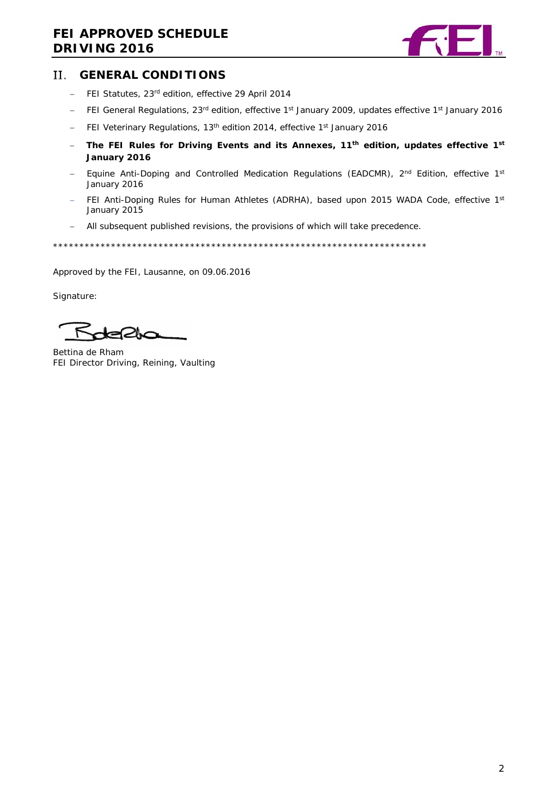# **FEI APPROVED SCHEDULE DRIVING 2016**



#### <span id="page-1-0"></span>Н. **GENERAL CONDITIONS**

- − FEI Statutes, 23rd edition, effective 29 April 2014
- − FEI General Regulations, 23rd edition, effective 1st January 2009, updates effective 1st January 2016
- − FEI Veterinary Regulations, 13th edition 2014, effective 1st January 2016
- − **The FEI Rules for Driving Events and its Annexes, 11th edition, updates effective 1st January 2016**
- − Equine Anti-Doping and Controlled Medication Regulations (EADCMR)*,* 2nd Edition, effective 1st January 2016
- − FEI Anti-Doping Rules for Human Athletes (ADRHA), based upon 2015 WADA Code, effective 1<sup>st</sup> January 2015
- − All subsequent published revisions, the provisions of which will take precedence.

\*\*\*\*\*\*\*\*\*\*\*\*\*\*\*\*\*\*\*\*\*\*\*\*\*\*\*\*\*\*\*\*\*\*\*\*\*\*\*\*\*\*\*\*\*\*\*\*\*\*\*\*\*\*\*\*\*\*\*\*\*\*\*\*\*\*\*\*\*\*\*

Approved by the FEI, Lausanne, on 09.06.2016

Signature:

Bettina de Rham FEI Director Driving, Reining, Vaulting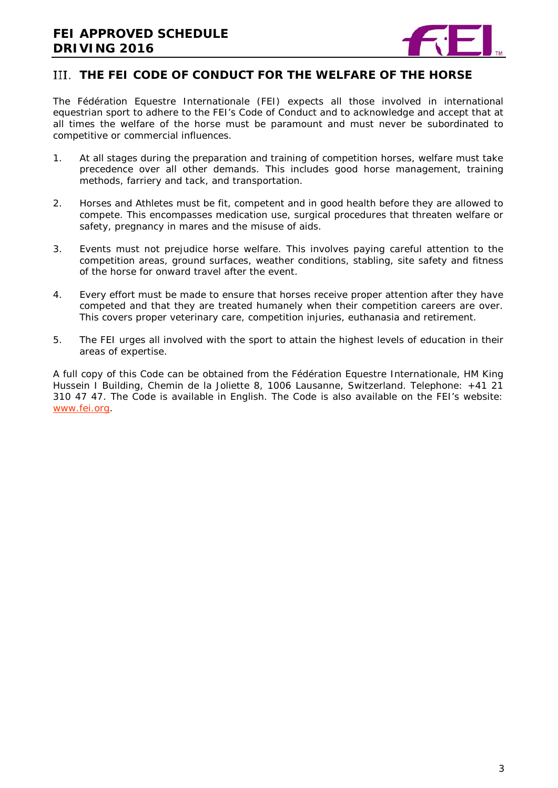

## <span id="page-2-0"></span>**THE FEI CODE OF CONDUCT FOR THE WELFARE OF THE HORSE**

The Fédération Equestre Internationale (FEI) expects all those involved in international equestrian sport to adhere to the FEI's Code of Conduct and to acknowledge and accept that at all times the welfare of the horse must be paramount and must never be subordinated to competitive or commercial influences.

- 1. At all stages during the preparation and training of competition horses, welfare must take precedence over all other demands. This includes good horse management, training methods, farriery and tack, and transportation.
- 2. Horses and Athletes must be fit, competent and in good health before they are allowed to compete. This encompasses medication use, surgical procedures that threaten welfare or safety, pregnancy in mares and the misuse of aids.
- 3. Events must not prejudice horse welfare. This involves paying careful attention to the competition areas, ground surfaces, weather conditions, stabling, site safety and fitness of the horse for onward travel after the event.
- 4. Every effort must be made to ensure that horses receive proper attention after they have competed and that they are treated humanely when their competition careers are over. This covers proper veterinary care, competition injuries, euthanasia and retirement.
- 5. The FEI urges all involved with the sport to attain the highest levels of education in their areas of expertise.

A full copy of this Code can be obtained from the Fédération Equestre Internationale, HM King Hussein I Building, Chemin de la Joliette 8, 1006 Lausanne, Switzerland. Telephone: +41 21 310 47 47. The Code is available in English. The Code is also available on the FEI's website: [www.fei.org.](http://www.fei.org/)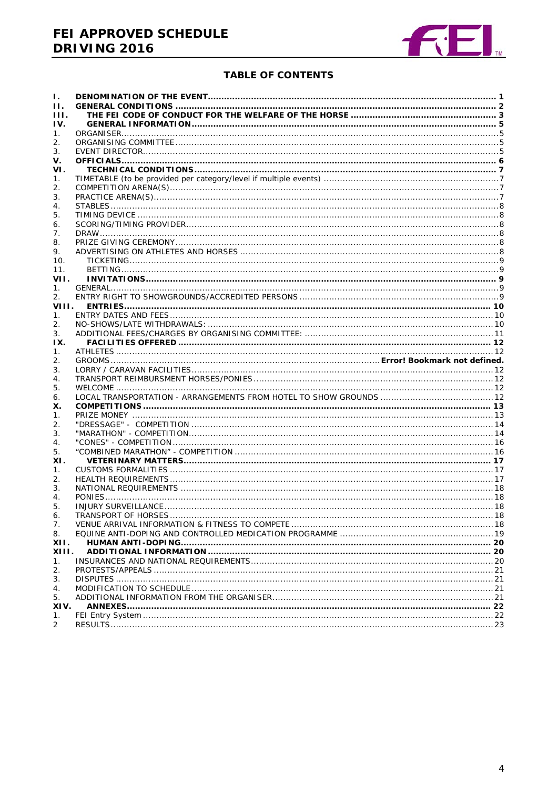# FEI APPROVED SCHEDULE **DRIVING 2016**



#### **TABLE OF CONTENTS**

| Ι.    |  |
|-------|--|
| Н.    |  |
| HL.   |  |
| IV.   |  |
| 1.    |  |
| 2.    |  |
| 3.    |  |
| v.    |  |
| VI.   |  |
| 1.    |  |
| 2.    |  |
| 3.    |  |
| 4.    |  |
| 5.    |  |
| 6.    |  |
| 7.    |  |
| 8.    |  |
| 9.    |  |
| 10.   |  |
| 11.   |  |
| VII.  |  |
| 1.    |  |
| 2.    |  |
| VIII. |  |
| 1.    |  |
| 2.    |  |
| 3.    |  |
| IX.   |  |
| 1.    |  |
| 2.    |  |
|       |  |
| 3.    |  |
| 4.    |  |
| 5.    |  |
| 6.    |  |
| Х.    |  |
| 1.    |  |
| 2.    |  |
| 3.    |  |
| 4.    |  |
| 5.    |  |
| XI.   |  |
| 1.    |  |
| 2.    |  |
| 3.    |  |
| 4.    |  |
| 5.    |  |
| 6.    |  |
| 7.    |  |
| 8.    |  |
| XII.  |  |
| XIII. |  |
| 1.    |  |
| 2.    |  |
| 3.    |  |
| 4.    |  |
| 5.    |  |
| XIV.  |  |
| 1.    |  |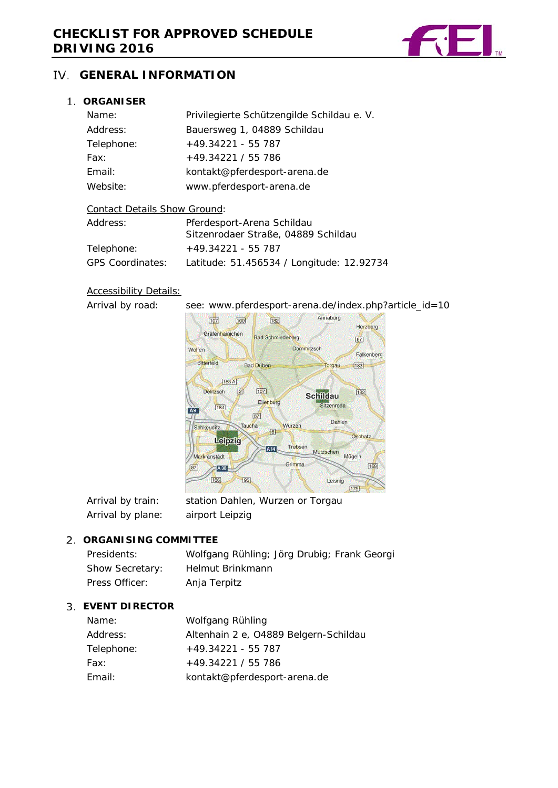

## <span id="page-4-0"></span>**GENERAL INFORMATION**

### <span id="page-4-1"></span>**ORGANISER**

| Name:      | Privilegierte Schützengilde Schildau e. V. |
|------------|--------------------------------------------|
| Address:   | Bauersweg 1, 04889 Schildau                |
| Telephone: | $+49.34221 - 55787$                        |
| Fax:       | $+49.34221 / 55786$                        |
| Email:     | kontakt@pferdesport-arena.de               |
| Website:   | www.pferdesport-arena.de                   |
|            |                                            |

#### Contact Details Show Ground:

| Address:                | Pferdesport-Arena Schildau                |  |  |  |
|-------------------------|-------------------------------------------|--|--|--|
|                         | Sitzenrodaer Straße, 04889 Schildau       |  |  |  |
| Telephone:              | $+49.34221 - 55.787$                      |  |  |  |
| <b>GPS Coordinates:</b> | Latitude: 51.456534 / Longitude: 12.92734 |  |  |  |

## **Accessibility Details:**

Arrival by road: see: www.pferdesport-arena.de/index.php?article\_id=10



| Arrival by train: | station Dahlen, Wurzen or Torgau |
|-------------------|----------------------------------|
| Arrival by plane: | airport Leipzig                  |

### <span id="page-4-2"></span>**ORGANISING COMMITTEE**

| Presidents:     | Wolfgang Rühling; Jörg Drubig; Frank Georgi |
|-----------------|---------------------------------------------|
| Show Secretary: | Helmut Brinkmann                            |
| Press Officer:  | Anja Terpitz                                |

#### <span id="page-4-3"></span>**EVENT DIRECTOR**

| Name:      | Wolfgang Rühling                      |
|------------|---------------------------------------|
| Address:   | Altenhain 2 e, O4889 Belgern-Schildau |
| Telephone: | $+49.34221 - 55787$                   |
| Fax:       | $+49.34221 / 55786$                   |
| Email:     | kontakt@pferdesport-arena.de          |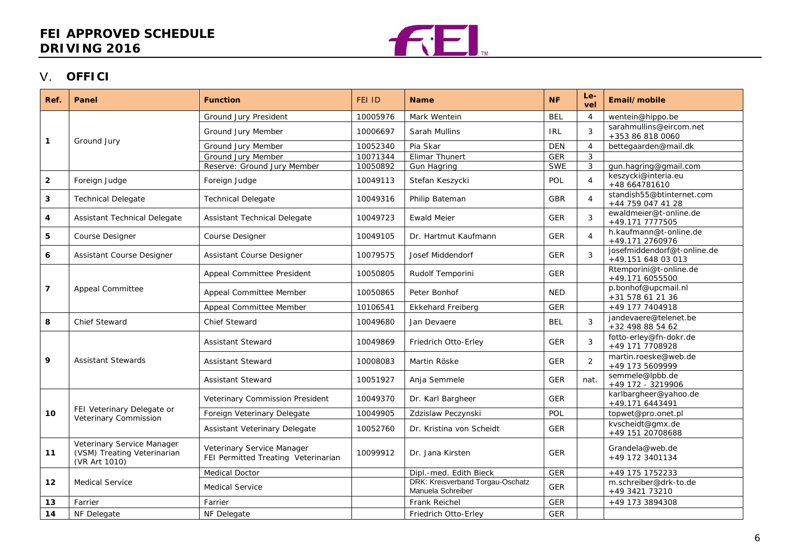## **FEI APPROVED SCHEDULE DRIVING 2016**



## **OFFICI**

<span id="page-5-0"></span>

| Ref.                               | Panel                                                                      | <b>Function</b>                                                   | <b>FEI ID</b> | <b>Name</b>                                           | <b>NF</b>  | Le-<br>vel     | Email/mobile                                      |
|------------------------------------|----------------------------------------------------------------------------|-------------------------------------------------------------------|---------------|-------------------------------------------------------|------------|----------------|---------------------------------------------------|
|                                    |                                                                            | Ground Jury President                                             | 10005976      | Mark Wentein                                          | <b>BEL</b> | $\overline{4}$ | wentein@hippo.be                                  |
| $\mathbf{1}$                       | Ground Jury                                                                | Ground Jury Member                                                | 10006697      | Sarah Mullins                                         | <b>IRL</b> | 3              | sarahmullins@eircom.net<br>+353 86 818 0060       |
|                                    |                                                                            | Ground Jury Member                                                | 10052340      | Pia Skar                                              | <b>DEN</b> | $\overline{4}$ | bettegaarden@mail.dk                              |
|                                    |                                                                            | Ground Jury Member                                                | 10071344      | Elimar Thunert                                        | <b>GER</b> | 3              |                                                   |
|                                    |                                                                            | Reserve: Ground Jury Member                                       | 10050892      | <b>Gun Hagring</b>                                    | <b>SWE</b> | 3              | gun.hagring@gmail.com                             |
| $\mathbf{2}$                       | Foreign Judge                                                              | Foreign Judge                                                     | 10049113      | Stefan Keszycki                                       | POL        | $\overline{4}$ | keszycki@interia.eu<br>+48 664781610              |
| 3                                  | <b>Technical Delegate</b>                                                  | <b>Technical Delegate</b>                                         | 10049316      | Philip Bateman                                        | <b>GBR</b> | $\overline{4}$ | standish55@btinternet.com<br>+44 759 047 41 28    |
| 4                                  | Assistant Technical Delegate                                               | Assistant Technical Delegate                                      | 10049723      | <b>Ewald Meier</b>                                    | <b>GER</b> | $\sqrt{3}$     | ewaldmeier@t-online.de<br>+49.171 7777505         |
| 5                                  | Course Designer                                                            | <b>Course Designer</b>                                            | 10049105      | Dr. Hartmut Kaufmann                                  | <b>GER</b> | $\overline{4}$ | h.kaufmann@t-online.de<br>+49.171 2760976         |
| 6                                  | <b>Assistant Course Designer</b>                                           | Assistant Course Designer                                         | 10079575      | Josef Middendorf                                      | <b>GER</b> | 3              | josefmiddendorf@t-online.de<br>+49.151 648 03 013 |
|                                    |                                                                            | Appeal Committee President                                        | 10050805      | Rudolf Temporini                                      | <b>GER</b> |                | Rtemporini@t-online.de<br>+49.171 6055500         |
| $\overline{7}$<br>Appeal Committee |                                                                            | Appeal Committee Member                                           | 10050865      | Peter Bonhof                                          | <b>NED</b> |                | p.bonhof@upcmail.nl<br>+31 578 61 21 36           |
|                                    |                                                                            | Appeal Committee Member                                           | 10106541      | <b>Ekkehard Freiberg</b>                              | <b>GER</b> |                | +49 177 7404918                                   |
| 8                                  | Chief Steward                                                              | <b>Chief Steward</b>                                              | 10049680      | Jan Devaere                                           | <b>BEL</b> | $\sqrt{3}$     | jandevaere@telenet.be<br>+32 498 88 54 62         |
|                                    |                                                                            | <b>Assistant Steward</b>                                          | 10049869      | Friedrich Otto-Erley                                  | <b>GER</b> | 3              | fotto-erley@fn-dokr.de<br>+49 171 7708928         |
| 9                                  | <b>Assistant Stewards</b>                                                  | <b>Assistant Steward</b>                                          | 10008083      | Martin Röske                                          | <b>GER</b> | 2              | martin.roeske@web.de<br>+49 173 5609999           |
|                                    |                                                                            | <b>Assistant Steward</b>                                          | 10051927      | Anja Semmele                                          | <b>GER</b> | nat.           | semmele@lpbb.de<br>+49 172 - 3219906              |
|                                    |                                                                            | Veterinary Commission President                                   | 10049370      | Dr. Karl Bargheer                                     | <b>GER</b> |                | karlbargheer@yahoo.de<br>+49.171 6443491          |
| 10                                 | FEI Veterinary Delegate or<br>Veterinary Commission                        | Foreign Veterinary Delegate                                       | 10049905      | Zdzislaw Peczynski                                    | POL        |                | topwet@pro.onet.pl                                |
|                                    |                                                                            | Assistant Veterinary Delegate                                     | 10052760      | Dr. Kristina von Scheidt                              | GER        |                | kvscheidt@gmx.de<br>+49 151 20708688              |
| 11                                 | Veterinary Service Manager<br>(VSM) Treating Veterinarian<br>(VR Art 1010) | Veterinary Service Manager<br>FEI Permitted Treating Veterinarian | 10099912      | Dr. Jana Kirsten                                      | <b>GER</b> |                | Grandela@web.de<br>+49 172 3401134                |
|                                    |                                                                            | <b>Medical Doctor</b>                                             |               | Dipl.-med. Edith Bieck                                | <b>GER</b> |                | +49 175 1752233                                   |
| $12 \,$                            | <b>Medical Service</b>                                                     | <b>Medical Service</b>                                            |               | DRK: Kreisverband Torgau-Oschatz<br>Manuela Schreiber | <b>GER</b> |                | m.schreiber@drk-to.de<br>+49 3421 73210           |
| 13                                 | Farrier                                                                    | Farrier                                                           |               | Frank Reichel                                         | <b>GER</b> |                | +49 173 3894308                                   |
| 14                                 | NF Delegate                                                                | NF Delegate                                                       |               | Friedrich Otto-Erley                                  | <b>GER</b> |                |                                                   |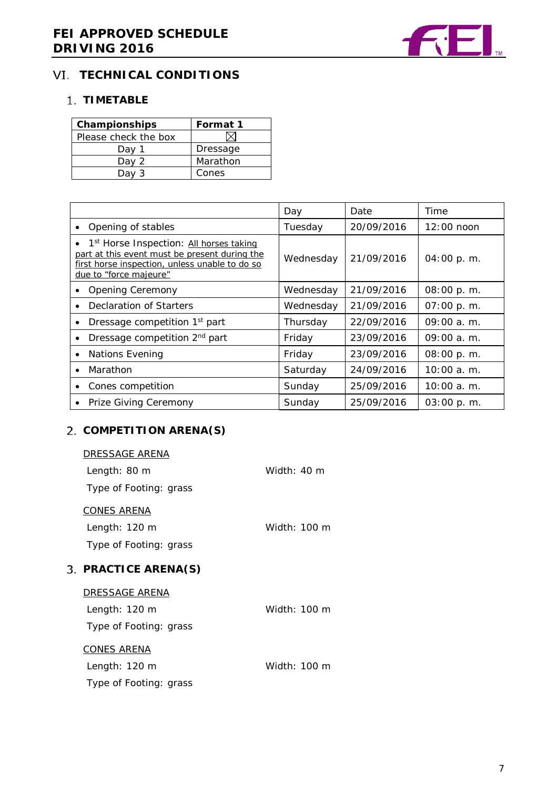

## <span id="page-6-0"></span>**VI. TECHNICAL CONDITIONS**

## <span id="page-6-1"></span>**TIMETABLE**

| Championships        | Format 1 |
|----------------------|----------|
| Please check the box |          |
| Day 1                | Dressage |
| Day 2                | Marathon |
| Dav                  | Cones    |

|                                                                                                                                                                                    | Day       | Date       | Time          |
|------------------------------------------------------------------------------------------------------------------------------------------------------------------------------------|-----------|------------|---------------|
| Opening of stables                                                                                                                                                                 | Tuesday   | 20/09/2016 | $12:00$ noon  |
| • 1 <sup>st</sup> Horse Inspection: All horses taking<br>part at this event must be present during the<br>first horse inspection, unless unable to do so<br>due to "force majeure" | Wednesday | 21/09/2016 | 04:00 p.m.    |
| <b>Opening Ceremony</b>                                                                                                                                                            | Wednesday | 21/09/2016 | 08:00 p.m.    |
| Declaration of Starters                                                                                                                                                            | Wednesday | 21/09/2016 | 07:00 p.m.    |
| Dressage competition 1 <sup>st</sup> part<br>$\bullet$                                                                                                                             | Thursday  | 22/09/2016 | $09:00a$ . m. |
| Dressage competition 2 <sup>nd</sup> part<br>$\bullet$                                                                                                                             | Friday    | 23/09/2016 | $09:00a$ . m. |
| <b>Nations Evening</b>                                                                                                                                                             | Friday    | 23/09/2016 | 08:00 p.m.    |
| Marathon                                                                                                                                                                           | Saturday  | 24/09/2016 | $10:00a$ . m. |
| Cones competition<br>$\bullet$                                                                                                                                                     | Sunday    | 25/09/2016 | $10:00a$ . m. |
| Prize Giving Ceremony<br>$\bullet$                                                                                                                                                 | Sunday    | 25/09/2016 | 03:00 p.m.    |

# <span id="page-6-2"></span>**COMPETITION ARENA(S)**

<span id="page-6-4"></span><span id="page-6-3"></span>3.

| DRESSAGE ARENA           |                       |
|--------------------------|-----------------------|
| Length: 80 m             | Width: $40 \text{ m}$ |
| Type of Footing: grass   |                       |
| <u>CONES ARENA</u>       |                       |
| Length: 120 m            | Width: 100 m          |
| Type of Footing: grass   |                       |
| <b>PRACTICE ARENA(S)</b> |                       |
|                          |                       |
| DRESSAGE ARENA           |                       |
| Length: $120 \text{ m}$  | Width: 100 m          |
| Type of Footing: grass   |                       |
| <u>CONES ARENA</u>       |                       |
| Length: 120 m            | Width: 100 m          |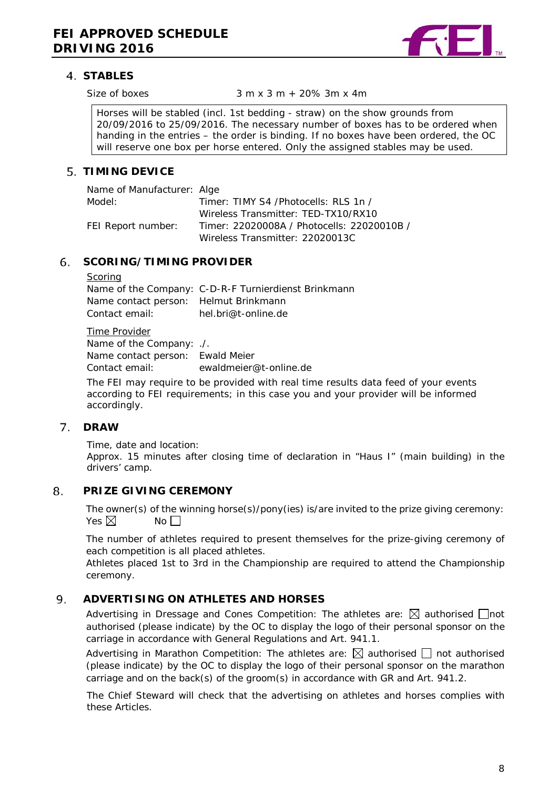

## **STABLES**

Size of boxes  $3 \text{ m } x 3 \text{ m } + 20\% 3 \text{ m } x 4 \text{ m}$ 

Horses will be stabled (incl. 1st bedding - straw) on the show grounds from 20/09/2016 to 25/09/2016. The necessary number of boxes has to be ordered when handing in the entries – the order is binding. If no boxes have been ordered, the OC will reserve one box per horse entered. Only the assigned stables may be used.

## <span id="page-7-0"></span>**TIMING DEVICE**

| Name of Manufacturer: Alge |                                            |
|----------------------------|--------------------------------------------|
| Model:                     | Timer: TIMY S4 /Photocells: RLS 1n /       |
|                            | Wireless Transmitter: TFD-TX10/RX10        |
| FEI Report number:         | Timer: 22020008A / Photocells: 22020010B / |
|                            | Wireless Transmitter: 22020013C            |

#### <span id="page-7-1"></span>6. **SCORING/TIMING PROVIDER**

#### **Scoring**

Name of the Company: C-D-R-F Turnierdienst Brinkmann Name contact person: Helmut Brinkmann Contact email: hel.bri@t-online.de

Time Provider Name of the Company: ./. Name contact person: Ewald Meier Contact email: ewaldmeier@t-online.de

The FEI may require to be provided with real time results data feed of your events according to FEI requirements; in this case you and your provider will be informed accordingly.

#### <span id="page-7-2"></span>**DRAW**  $7<sub>1</sub>$

Time, date and location: Approx. 15 minutes after closing time of declaration in "Haus I" (main building) in the drivers' camp.

#### <span id="page-7-3"></span>8. **PRIZE GIVING CEREMONY**

The owner(s) of the winning horse(s)/pony(ies) is/are invited to the prize giving ceremony: Yes  $\nabla$  No  $\nabla$ 

The number of athletes required to present themselves for the prize-giving ceremony of each competition is all placed athletes.

Athletes placed 1st to 3rd in the Championship are required to attend the Championship ceremony.

#### <span id="page-7-4"></span>9. **ADVERTISING ON ATHLETES AND HORSES**

Advertising in Dressage and Cones Competition: The athletes are:  $\boxtimes$  authorised  $\Box$ not authorised (please indicate) by the OC to display the logo of their personal sponsor on the carriage in accordance with General Regulations and Art. 941.1.

Advertising in Marathon Competition: The athletes are:  $\boxtimes$  authorised  $\Box$  not authorised (please indicate) by the OC to display the logo of their personal sponsor on the marathon carriage and on the back(s) of the groom(s) in accordance with GR and Art. 941.2.

<span id="page-7-5"></span>The Chief Steward will check that the advertising on athletes and horses complies with these Articles.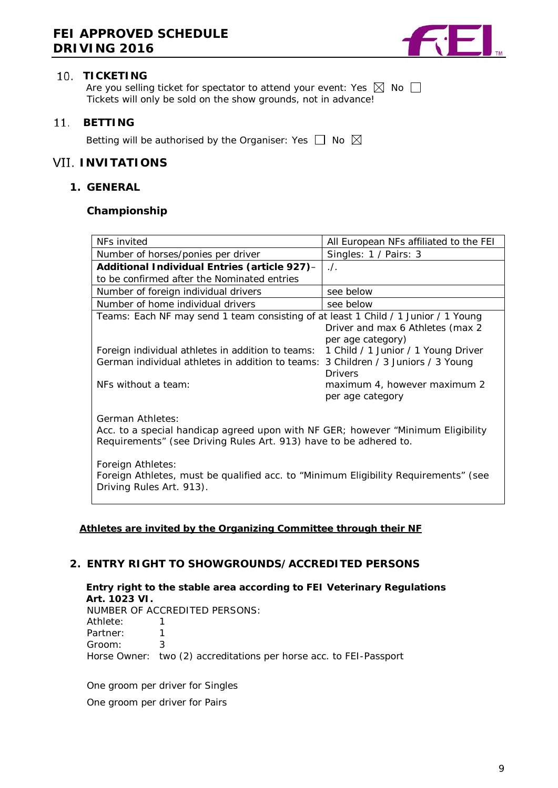

### **10. TICKETING**

Are you selling ticket for spectator to attend your event: Yes  $\boxtimes$  No  $\Box$ Tickets will only be sold on the show grounds, not in advance!

#### <span id="page-8-0"></span> $11.$ **BETTING**

Betting will be authorised by the Organiser: Yes  $\Box$  No  $\boxtimes$ 

## <span id="page-8-1"></span>**VII. INVITATIONS**

#### <span id="page-8-2"></span>**1. GENERAL**

#### **Championship**

| NFs invited                                                                                                                                                               | All European NFs affiliated to the FEI                |  |  |
|---------------------------------------------------------------------------------------------------------------------------------------------------------------------------|-------------------------------------------------------|--|--|
| Number of horses/ponies per driver                                                                                                                                        | Singles: 1 / Pairs: 3                                 |  |  |
| Additional Individual Entries (article 927)-                                                                                                                              | $\Lambda$ .                                           |  |  |
| to be confirmed after the Nominated entries                                                                                                                               |                                                       |  |  |
| Number of foreign individual drivers                                                                                                                                      | see below                                             |  |  |
| Number of home individual drivers                                                                                                                                         | see below                                             |  |  |
| Teams: Each NF may send 1 team consisting of at least 1 Child / 1 Junior / 1 Young                                                                                        | Driver and max 6 Athletes (max 2<br>per age category) |  |  |
| Foreign individual athletes in addition to teams:<br>German individual athletes in addition to teams: 3 Children / 3 Juniors / 3 Young                                    | 1 Child / 1 Junior / 1 Young Driver<br>Drivers        |  |  |
| NEs without a team:                                                                                                                                                       | maximum 4, however maximum 2<br>per age category      |  |  |
| German Athletes:<br>Acc. to a special handicap agreed upon with NF GER; however "Minimum Eligibility<br>Requirements" (see Driving Rules Art. 913) have to be adhered to. |                                                       |  |  |
| Foreign Athletes:<br>Foreign Athletes, must be qualified acc. to "Minimum Eligibility Requirements" (see<br>Driving Rules Art. 913).                                      |                                                       |  |  |

#### **Athletes are invited by the Organizing Committee through their NF**

## <span id="page-8-3"></span>**2. ENTRY RIGHT TO SHOWGROUNDS/ACCREDITED PERSONS**

**Entry right to the stable area according to FEI Veterinary Regulations Art. 1023 VI.** 

|            | NUMBER OF ACCREDITED PERSONS:                                      |
|------------|--------------------------------------------------------------------|
| Athlete: 1 |                                                                    |
| Partner: 1 |                                                                    |
| Groom:     |                                                                    |
|            | Horse Owner: two (2) accreditations per horse acc. to FEI-Passport |

<span id="page-8-4"></span>One groom per driver for Singles One groom per driver for Pairs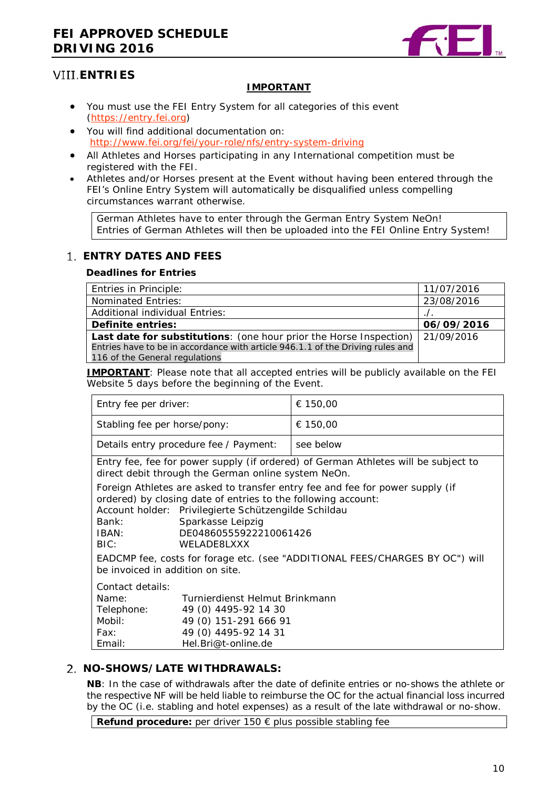

## **ENTRIES**

#### **IMPORTANT**

- You must use the FEI Entry System for all categories of this event [\(https://entry.fei.org\)](https://entry.fei.org/)
- You will find additional documentation on: <http://www.fei.org/fei/your-role/nfs/entry-system-driving>
- All Athletes and Horses participating in any International competition must be registered with the FEI.
- Athletes and/or Horses present at the Event without having been entered through the FEI's Online Entry System will automatically be disqualified unless compelling circumstances warrant otherwise.

German Athletes have to enter through the German Entry System NeOn! Entries of German Athletes will then be uploaded into the FEI Online Entry System!

## <span id="page-9-0"></span>**ENTRY DATES AND FEES**

#### **Deadlines for Entries**

| Entries in Principle:                                                                                            | 11/07/2016 |
|------------------------------------------------------------------------------------------------------------------|------------|
| Nominated Entries:                                                                                               | 23/08/2016 |
| <b>Additional individual Entries:</b>                                                                            |            |
| Definite entries:                                                                                                | 06/09/2016 |
| Last date for substitutions: (one hour prior the Horse Inspection)   21/09/2016                                  |            |
| Entries have to be in accordance with article 946.1.1 of the Driving rules and<br>116 of the General regulations |            |

**IMPORTANT**: Please note that all accepted entries will be publicly available on the FEI Website 5 days before the beginning of the Event.

| Entry fee per driver:                                                                                                                                                                                                                                                                          |                                                                                 | € 150,00                                                                           |
|------------------------------------------------------------------------------------------------------------------------------------------------------------------------------------------------------------------------------------------------------------------------------------------------|---------------------------------------------------------------------------------|------------------------------------------------------------------------------------|
| Stabling fee per horse/pony:                                                                                                                                                                                                                                                                   |                                                                                 | € 150,00                                                                           |
|                                                                                                                                                                                                                                                                                                | Details entry procedure fee / Payment:                                          | see below                                                                          |
|                                                                                                                                                                                                                                                                                                | direct debit through the German online system NeOn.                             | Entry fee, fee for power supply (if ordered) of German Athletes will be subject to |
| Foreign Athletes are asked to transfer entry fee and fee for power supply (if<br>ordered) by closing date of entries to the following account:<br>Account holder: Privilegierte Schützengilde Schildau<br>Sparkasse Leipzig<br>Bank:<br>DE04860555922210061426<br>IBAN:<br>BIC:<br>WELADERLXXX |                                                                                 |                                                                                    |
| EADCMP fee, costs for forage etc. (see "ADDITIONAL FEES/CHARGES BY OC") will<br>be invoiced in addition on site.                                                                                                                                                                               |                                                                                 |                                                                                    |
| Contact details:<br>Name:<br>Telephone:<br>Mobil:                                                                                                                                                                                                                                              | Turnierdienst Helmut Brinkmann<br>49 (0) 4495-92 14 30<br>49 (0) 151-291 666 91 |                                                                                    |

#### <span id="page-9-1"></span>**NO-SHOWS/LATE WITHDRAWALS:**

Fax: 49 (0) 4495-92 14 31 Email: Hel.Bri@t-online.de

**NB**: In the case of withdrawals after the date of definite entries or no-shows the athlete or the respective NF will be held liable to reimburse the OC for the actual financial loss incurred by the OC (i.e. stabling and hotel expenses) as a result of the late withdrawal or no-show.

<span id="page-9-2"></span>**Refund procedure:** per driver 150 € plus possible stabling fee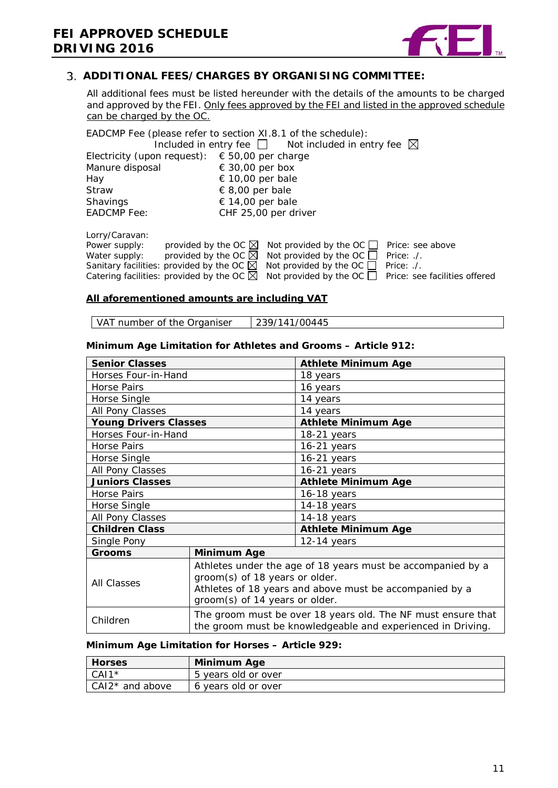

### **ADDITIONAL FEES/CHARGES BY ORGANISING COMMITTEE:**

All additional fees must be listed hereunder with the details of the amounts to be charged and approved by the FEI. Only fees approved by the FEI and listed in the approved schedule can be charged by the OC.

EADCMP Fee (please refer to section XI.8.1 of the schedule): Included in entry fee  $\Box$  Not included in entry fee  $\boxtimes$ Electricity (upon request):  $€ 50,00$  per charge<br>Manure disposal  $€ 30,00$  per box Manure disposal  $\epsilon$  30,00 per box<br>Hay  $\epsilon$  10,00 per bale Hay  $\begin{array}{ccc} \n\text{Hay} & \text{if} & 10,00 \text{ per bale} \\ \n\text{Straw} & \text{if} & \text{if} & 8,00 \text{ per bale} \n\end{array}$ Straw  $\epsilon$  8,00 per bale<br>Shavings  $\epsilon$  14,00 per bale Shavings 
∈ 14,00 per bale<br>
EADCMP Fee: CHF 25.00 per dr CHF 25,00 per driver Lorry/Caravan:

| LUITY/Cardvari. |                                                                                                                 |  |
|-----------------|-----------------------------------------------------------------------------------------------------------------|--|
| Power supply:   | provided by the OC $\boxtimes$ Not provided by the OC $\Box$ Price: see above                                   |  |
| Water supply:   | provided by the OC $\boxtimes$ Not provided by the OC $\Box$ Price: ./.                                         |  |
|                 | Sanitary facilities: provided by the OC $\boxtimes$ Not provided by the OC $\Box$ Price: ./.                    |  |
|                 | Catering facilities: provided by the OC $\boxtimes$ Not provided by the OC $\Box$ Price: see facilities offered |  |
|                 |                                                                                                                 |  |

#### **All aforementioned amounts are including VAT**

VAT number of the Organiser  $\vert$  239/141/00445

#### **Minimum Age Limitation for Athletes and Grooms – Article 912:**

| <b>Senior Classes</b>             |                                                                                                                                                                                            | <b>Athlete Minimum Age</b> |  |
|-----------------------------------|--------------------------------------------------------------------------------------------------------------------------------------------------------------------------------------------|----------------------------|--|
| Horses Four-in-Hand               |                                                                                                                                                                                            | 18 years                   |  |
| <b>Horse Pairs</b>                |                                                                                                                                                                                            | 16 years                   |  |
| Horse Single                      |                                                                                                                                                                                            | 14 years                   |  |
| All Pony Classes                  |                                                                                                                                                                                            | 14 years                   |  |
| <b>Young Drivers Classes</b>      |                                                                                                                                                                                            | <b>Athlete Minimum Age</b> |  |
| Horses Four-in-Hand               |                                                                                                                                                                                            | 18-21 years                |  |
| Horse Pairs                       |                                                                                                                                                                                            | 16-21 years                |  |
| Horse Single                      |                                                                                                                                                                                            | $16-21$ years              |  |
| All Pony Classes                  |                                                                                                                                                                                            | $16-21$ years              |  |
| <b>Juniors Classes</b>            |                                                                                                                                                                                            | <b>Athlete Minimum Age</b> |  |
| <b>Horse Pairs</b>                |                                                                                                                                                                                            | $16-18$ years              |  |
| Horse Single                      |                                                                                                                                                                                            | 14-18 years                |  |
| All Pony Classes<br>$14-18$ years |                                                                                                                                                                                            |                            |  |
| <b>Children Class</b>             |                                                                                                                                                                                            | <b>Athlete Minimum Age</b> |  |
| Single Pony                       |                                                                                                                                                                                            | $12-14$ years              |  |
| <b>Grooms</b>                     | Minimum Age                                                                                                                                                                                |                            |  |
| <b>All Classes</b>                | Athletes under the age of 18 years must be accompanied by a<br>groom(s) of 18 years or older.<br>Athletes of 18 years and above must be accompanied by a<br>groom(s) of 14 years or older. |                            |  |
| Children                          | The groom must be over 18 years old. The NF must ensure that<br>the groom must be knowledgeable and experienced in Driving.                                                                |                            |  |

#### **Minimum Age Limitation for Horses – Article 929:**

<span id="page-10-0"></span>

| <b>Horses</b>     | <b>Minimum Age</b>  |
|-------------------|---------------------|
| $CAI1*$           | 5 years old or over |
| $CAI2*$ and above | 6 years old or over |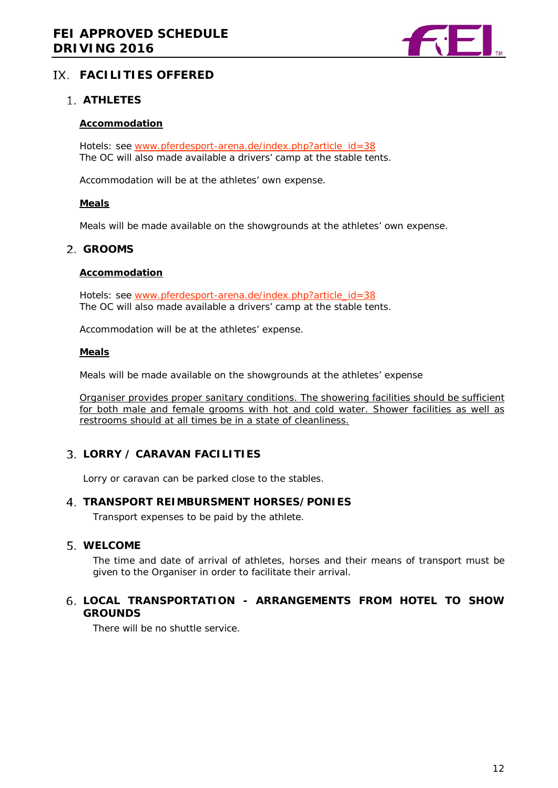

## **FACILITIES OFFERED**

## <span id="page-11-0"></span>**ATHLETES**

#### **Accommodation**

Hotels: see [www.pferdesport-arena.de/index.php?article\\_id=38](http://www.pferdesport-arena.de/index.php?article_id=38) The OC will also made available a drivers' camp at the stable tents.

Accommodation will be at the athletes' own expense.

#### **Meals**

Meals will be made available on the showgrounds at the athletes' own expense.

#### **GROOMS**

#### **Accommodation**

Hotels: see [www.pferdesport-arena.de/index.php?article\\_id=38](http://www.pferdesport-arena.de/index.php?article_id=38) The OC will also made available a drivers' camp at the stable tents.

Accommodation will be at the athletes' expense.

#### **Meals**

Meals will be made available on the showgrounds at the athletes' expense

Organiser provides proper sanitary conditions. The showering facilities should be sufficient for both male and female grooms with hot and cold water. Shower facilities as well as restrooms should at all times be in a state of cleanliness.

## <span id="page-11-1"></span>**LORRY / CARAVAN FACILITIES**

Lorry or caravan can be parked close to the stables.

#### <span id="page-11-2"></span>**TRANSPORT REIMBURSMENT HORSES/PONIES**

Transport expenses to be paid by the athlete.

#### <span id="page-11-3"></span>**WELCOME**

The time and date of arrival of athletes, horses and their means of transport must be given to the Organiser in order to facilitate their arrival.

## <span id="page-11-5"></span><span id="page-11-4"></span>**LOCAL TRANSPORTATION - ARRANGEMENTS FROM HOTEL TO SHOW GROUNDS**

There will be no shuttle service.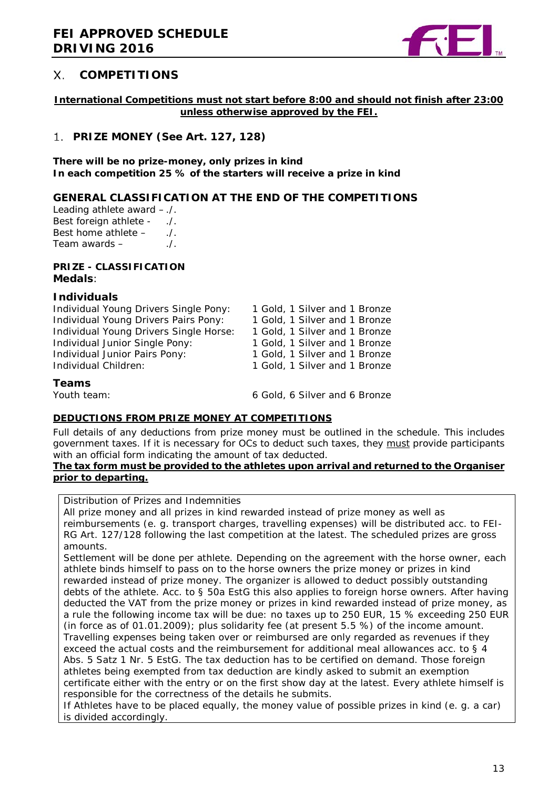

#### Χ. **COMPETITIONS**

#### **International Competitions must not start before 8:00 and should not finish after 23:00 unless otherwise approved by the FEI.**

## <span id="page-12-0"></span>**PRIZE MONEY (See Art. 127, 128)**

#### **There will be no prize-money, only prizes in kind In each competition 25 % of the starters will receive a prize in kind**

### **GENERAL CLASSIFICATION AT THE END OF THE COMPETITIONS**

Leading athlete award –./. Best foreign athlete - ...<br>Best home athlete - ... Best home athlete – Team awards  $\frac{1}{1}$ .

#### **PRIZE - CLASSIFICATION Medals**:

#### **Individuals**

| Individual Young Drivers Single Pony:  | 1 Gold, 1 Silver and 1 Bronze |
|----------------------------------------|-------------------------------|
| Individual Young Drivers Pairs Pony:   | 1 Gold, 1 Silver and 1 Bronze |
| Individual Young Drivers Single Horse: | 1 Gold, 1 Silver and 1 Bronze |
| Individual Junior Single Pony:         | 1 Gold, 1 Silver and 1 Bronze |
| Individual Junior Pairs Pony:          | 1 Gold, 1 Silver and 1 Bronze |
| Individual Children:                   | 1 Gold, 1 Silver and 1 Bronze |
| Teams                                  |                               |
| Youth team:                            | 6 Gold, 6 Silver and 6 Bronze |

#### **DEDUCTIONS FROM PRIZE MONEY AT COMPETITIONS**

Full details of any deductions from prize money must be outlined in the schedule. This includes government taxes. If it is necessary for OCs to deduct such taxes, they must provide participants with an official form indicating the amount of tax deducted.

#### **The tax form must be provided to the athletes upon arrival and returned to the Organiser prior to departing.**

Distribution of Prizes and Indemnities

All prize money and all prizes in kind rewarded instead of prize money as well as reimbursements (e. g. transport charges, travelling expenses) will be distributed acc. to FEI-RG Art. 127/128 following the last competition at the latest. The scheduled prizes are gross amounts.

Settlement will be done per athlete. Depending on the agreement with the horse owner, each athlete binds himself to pass on to the horse owners the prize money or prizes in kind rewarded instead of prize money. The organizer is allowed to deduct possibly outstanding debts of the athlete. Acc. to § 50a EstG this also applies to foreign horse owners. After having deducted the VAT from the prize money or prizes in kind rewarded instead of prize money, as a rule the following income tax will be due: no taxes up to 250 EUR, 15 % exceeding 250 EUR (in force as of 01.01.2009); plus solidarity fee (at present 5.5 %) of the income amount. Travelling expenses being taken over or reimbursed are only regarded as revenues if they exceed the actual costs and the reimbursement for additional meal allowances acc. to § 4 Abs. 5 Satz 1 Nr. 5 EstG. The tax deduction has to be certified on demand. Those foreign athletes being exempted from tax deduction are kindly asked to submit an exemption certificate either with the entry or on the first show day at the latest. Every athlete himself is responsible for the correctness of the details he submits.

If Athletes have to be placed equally, the money value of possible prizes in kind (e. g. a car) is divided accordingly.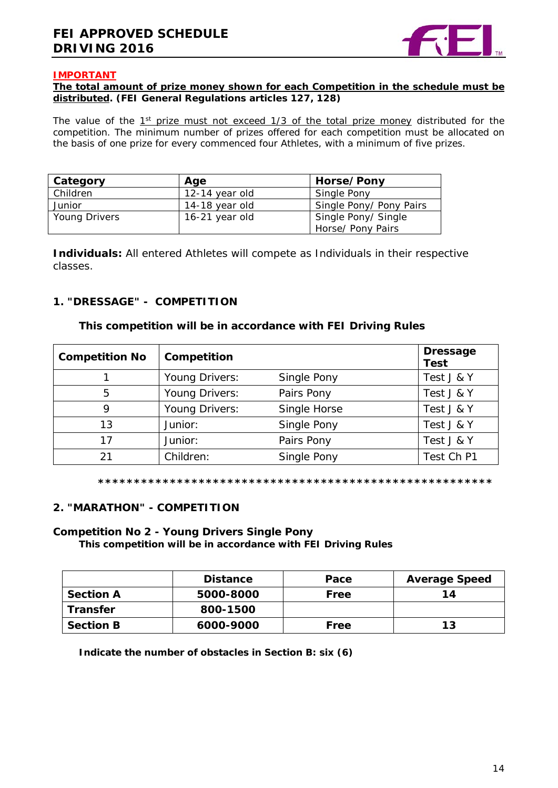

#### **IMPORTANT**

#### **The total amount of prize money shown for each Competition in the schedule must be distributed. (FEI General Regulations articles 127, 128)**

The value of the  $1<sup>st</sup>$  prize must not exceed  $1/3$  of the total prize money distributed for the competition. The minimum number of prizes offered for each competition must be allocated on the basis of one prize for every commenced four Athletes, with a minimum of five prizes.

| Category      | Age            | Horse/Pony              |
|---------------|----------------|-------------------------|
| Children      | 12-14 year old | Single Pony             |
| Junior        | 14-18 year old | Single Pony/ Pony Pairs |
| Young Drivers | 16-21 year old | Single Pony/ Single     |
|               |                | Horse/ Pony Pairs       |

**Individuals:** All entered Athletes will compete as Individuals in their respective classes.

### <span id="page-13-0"></span>**1. "DRESSAGE" - COMPETITION**

#### **This competition will be in accordance with FEI Driving Rules**

| <b>Competition No</b> | Competition    |              | <b>Dressage</b><br><b>Test</b> |
|-----------------------|----------------|--------------|--------------------------------|
|                       | Young Drivers: | Single Pony  | Test J & Y                     |
| 5                     | Young Drivers: | Pairs Pony   | Test J & Y                     |
| 9                     | Young Drivers: | Single Horse | Test J & Y                     |
| 13                    | Junior:        | Single Pony  | Test J & Y                     |
| 17                    | Junior:        | Pairs Pony   | Test J & Y                     |
| 21                    | Children:      | Single Pony  | Test Ch P1                     |

#### **\*\*\*\*\*\*\*\*\*\*\*\*\*\*\*\*\*\*\*\*\*\*\*\*\*\*\*\*\*\*\*\*\*\*\*\*\*\*\*\*\*\*\*\*\*\*\*\*\*\*\*\*\*\*\***

#### <span id="page-13-1"></span>**2. "MARATHON" - COMPETITION**

#### **Competition No 2 - Young Drivers Single Pony**

**This competition will be in accordance with FEI Driving Rules**

|                  | <b>Distance</b> | Pace | <b>Average Speed</b> |
|------------------|-----------------|------|----------------------|
| <b>Section A</b> | 5000-8000       | Free | 14                   |
| <b>Transfer</b>  | 800-1500        |      |                      |
| <b>Section B</b> | 6000-9000       | Free | 13                   |

**Indicate the number of obstacles in Section B: six (6)**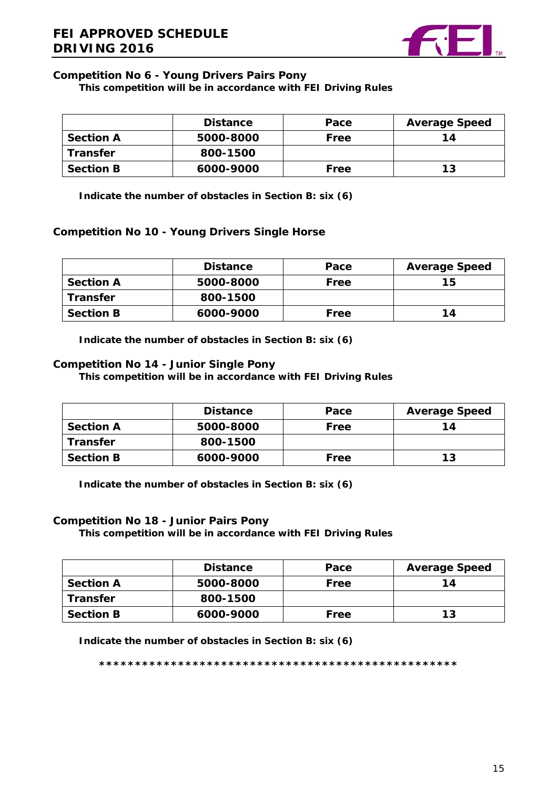

## **Competition No 6 - Young Drivers Pairs Pony**

### **This competition will be in accordance with FEI Driving Rules**

|                  | <b>Distance</b> | Pace | <b>Average Speed</b> |
|------------------|-----------------|------|----------------------|
| <b>Section A</b> | 5000-8000       | Free | 14                   |
| <b>Transfer</b>  | 800-1500        |      |                      |
| <b>Section B</b> | 6000-9000       | Free | 13                   |

**Indicate the number of obstacles in Section B: six (6)**

### **Competition No 10 - Young Drivers Single Horse**

|                  | <b>Distance</b> | Pace | <b>Average Speed</b> |
|------------------|-----------------|------|----------------------|
| <b>Section A</b> | 5000-8000       | Free | 15                   |
| <b>Transfer</b>  | 800-1500        |      |                      |
| <b>Section B</b> | 6000-9000       | Free | 14                   |

**Indicate the number of obstacles in Section B: six (6)**

## **Competition No 14 - Junior Single Pony**

**This competition will be in accordance with FEI Driving Rules**

|                  | <b>Distance</b> | Pace | <b>Average Speed</b> |
|------------------|-----------------|------|----------------------|
| <b>Section A</b> | 5000-8000       | Free | 14                   |
| <b>Transfer</b>  | 800-1500        |      |                      |
| <b>Section B</b> | 6000-9000       | Free | 13                   |

**Indicate the number of obstacles in Section B: six (6)**

#### **Competition No 18 - Junior Pairs Pony**

**This competition will be in accordance with FEI Driving Rules**

|                  | <b>Distance</b> | Pace | <b>Average Speed</b> |
|------------------|-----------------|------|----------------------|
| <b>Section A</b> | 5000-8000       | Free | 14                   |
| <b>Transfer</b>  | 800-1500        |      |                      |
| <b>Section B</b> | 6000-9000       | Free | 13                   |

**Indicate the number of obstacles in Section B: six (6)**

**\*\*\*\*\*\*\*\*\*\*\*\*\*\*\*\*\*\*\*\*\*\*\*\*\*\*\*\*\*\*\*\*\*\*\*\*\*\*\*\*\*\*\*\*\*\*\*\*\*\***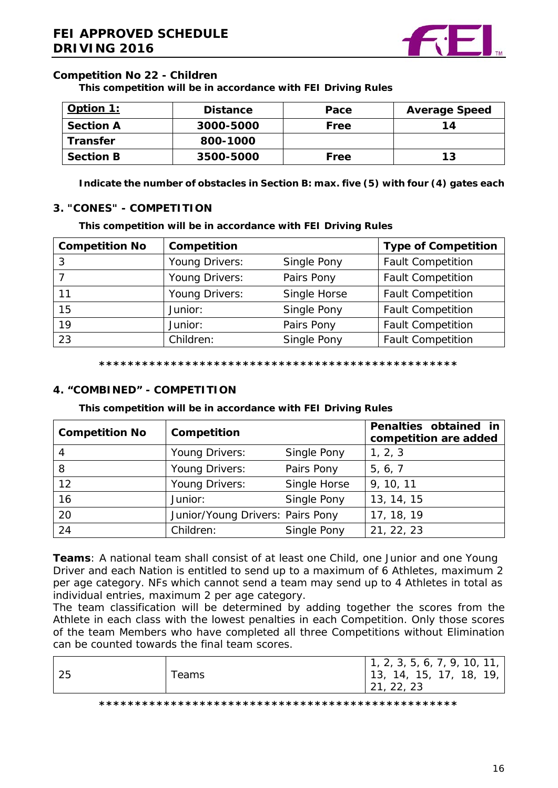

## **Competition No 22 - Children**

**This competition will be in accordance with FEI Driving Rules**

| Option 1:        | <b>Distance</b> | Pace | <b>Average Speed</b> |
|------------------|-----------------|------|----------------------|
| <b>Section A</b> | 3000-5000       | Free | 14                   |
| <b>Transfer</b>  | 800-1000        |      |                      |
| <b>Section B</b> | 3500-5000       | Free | 13                   |

**Indicate the number of obstacles in Section B: max. five (5) with four (4) gates each**

### <span id="page-15-0"></span>**3. "CONES" - COMPETITION**

**This competition will be in accordance with FEI Driving Rules**

| <b>Competition No</b> | Competition    |              | <b>Type of Competition</b> |
|-----------------------|----------------|--------------|----------------------------|
|                       | Young Drivers: | Single Pony  | <b>Fault Competition</b>   |
|                       | Young Drivers: | Pairs Pony   | <b>Fault Competition</b>   |
| 11                    | Young Drivers: | Single Horse | <b>Fault Competition</b>   |
| 15                    | Junior:        | Single Pony  | <b>Fault Competition</b>   |
| 19                    | Junior:        | Pairs Pony   | <b>Fault Competition</b>   |
| 23                    | Children:      | Single Pony  | <b>Fault Competition</b>   |

**\*\*\*\*\*\*\*\*\*\*\*\*\*\*\*\*\*\*\*\*\*\*\*\*\*\*\*\*\*\*\*\*\*\*\*\*\*\*\*\*\*\*\*\*\*\*\*\*\*\***

## <span id="page-15-1"></span>**4. "COMBINED" - COMPETITION**

#### **This competition will be in accordance with FEI Driving Rules**

| <b>Competition No</b> | Competition                      |              | Penalties obtained in<br>competition are added |
|-----------------------|----------------------------------|--------------|------------------------------------------------|
| 4                     | Young Drivers:                   | Single Pony  | 1, 2, 3                                        |
| 8                     | Young Drivers:                   | Pairs Pony   | 5, 6, 7                                        |
| 12                    | Young Drivers:                   | Single Horse | 9, 10, 11                                      |
| 16                    | Junior:                          | Single Pony  | 13, 14, 15                                     |
| 20                    | Junior/Young Drivers: Pairs Pony |              | 17, 18, 19                                     |
| 24                    | Children:                        | Single Pony  | 21, 22, 23                                     |

**Teams**: A national team shall consist of at least one Child, one Junior and one Young Driver and each Nation is entitled to send up to a maximum of 6 Athletes, maximum 2 per age category. NFs which cannot send a team may send up to 4 Athletes in total as individual entries, maximum 2 per age category.

The team classification will be determined by adding together the scores from the Athlete in each class with the lowest penalties in each Competition. Only those scores of the team Members who have completed all three Competitions without Elimination can be counted towards the final team scores.

|  |  | 25 | Teams | 1, 2, 3, 5, 6, 7, 9, 10, 11,<br>  13, 14, 15, 17, 18, 19,<br>21, 22, 23 |
|--|--|----|-------|-------------------------------------------------------------------------|
|--|--|----|-------|-------------------------------------------------------------------------|

**\*\*\*\*\*\*\*\*\*\*\*\*\*\*\*\*\*\*\*\*\*\*\*\*\*\*\*\*\*\*\*\*\*\*\*\*\*\*\*\*\*\*\*\*\*\*\*\*\*\***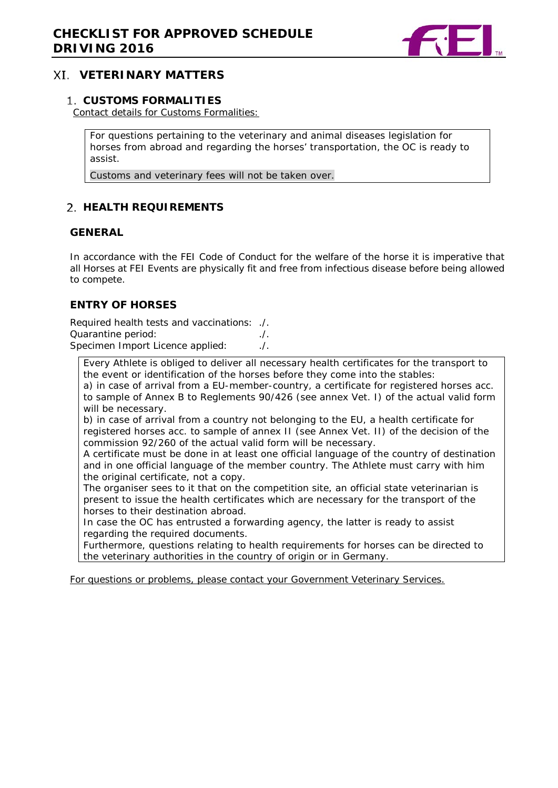

## <span id="page-16-0"></span>**VETERINARY MATTERS**

#### <span id="page-16-1"></span>**CUSTOMS FORMALITIES**

Contact details for Customs Formalities:

For questions pertaining to the veterinary and animal diseases legislation for horses from abroad and regarding the horses' transportation, the OC is ready to assist.

Customs and veterinary fees will not be taken over.

## <span id="page-16-2"></span>**HEALTH REQUIREMENTS**

#### **GENERAL**

In accordance with the FEI Code of Conduct for the welfare of the horse it is imperative that all Horses at FEI Events are physically fit and free from infectious disease before being allowed to compete.

#### **ENTRY OF HORSES**

Required health tests and vaccinations: ./. Quarantine period: ./. Specimen Import Licence applied:

Every Athlete is obliged to deliver all necessary health certificates for the transport to the event or identification of the horses before they come into the stables:

a) in case of arrival from a EU-member-country, a certificate for registered horses acc. to sample of Annex B to Reglements 90/426 (see annex Vet. I) of the actual valid form will be necessary.

b) in case of arrival from a country not belonging to the EU, a health certificate for registered horses acc. to sample of annex II (see Annex Vet. II) of the decision of the commission 92/260 of the actual valid form will be necessary.

A certificate must be done in at least one official language of the country of destination and in one official language of the member country. The Athlete must carry with him the original certificate, not a copy.

The organiser sees to it that on the competition site, an official state veterinarian is present to issue the health certificates which are necessary for the transport of the horses to their destination abroad.

In case the OC has entrusted a forwarding agency, the latter is ready to assist regarding the required documents.

Furthermore, questions relating to health requirements for horses can be directed to the veterinary authorities in the country of origin or in Germany.

<span id="page-16-3"></span>For questions or problems, please contact your Government Veterinary Services.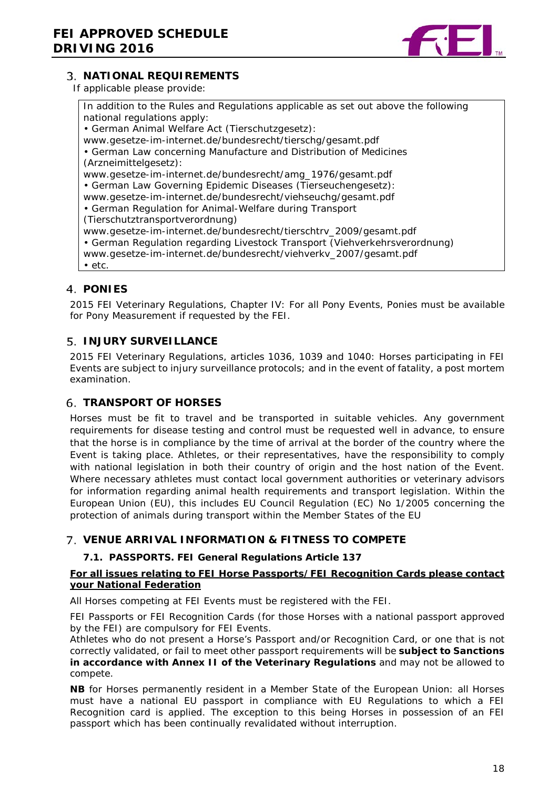

## **NATIONAL REQUIREMENTS**

If applicable please provide:

In addition to the Rules and Regulations applicable as set out above the following national regulations apply: • German Animal Welfare Act (Tierschutzgesetz): www.gesetze-im-internet.de/bundesrecht/tierschg/gesamt.pdf • German Law concerning Manufacture and Distribution of Medicines (Arzneimittelgesetz): www.gesetze-im-internet.de/bundesrecht/amg\_1976/gesamt.pdf • German Law Governing Epidemic Diseases (Tierseuchengesetz): www.gesetze-im-internet.de/bundesrecht/viehseuchg/gesamt.pdf • German Regulation for Animal-Welfare during Transport (Tierschutztransportverordnung) www.gesetze-im-internet.de/bundesrecht/tierschtrv\_2009/gesamt.pdf • German Regulation regarding Livestock Transport (Viehverkehrsverordnung) www.gesetze-im-internet.de/bundesrecht/viehverkv\_2007/gesamt.pdf • etc.

## <span id="page-17-0"></span>**PONIES**

2015 FEI Veterinary Regulations, Chapter IV: For all Pony Events, Ponies must be available for Pony Measurement if requested by the FEI.

## <span id="page-17-1"></span>**5. INJURY SURVEILLANCE**

2015 FEI Veterinary Regulations, articles 1036, 1039 and 1040: Horses participating in FEI Events are subject to injury surveillance protocols; and in the event of fatality, a post mortem examination.

## <span id="page-17-2"></span>**TRANSPORT OF HORSES**

Horses must be fit to travel and be transported in suitable vehicles. Any government requirements for disease testing and control must be requested well in advance, to ensure that the horse is in compliance by the time of arrival at the border of the country where the Event is taking place. Athletes, or their representatives, have the responsibility to comply with national legislation in both their country of origin and the host nation of the Event. Where necessary athletes must contact local government authorities or veterinary advisors for information regarding animal health requirements and transport legislation. Within the European Union (EU), this includes EU Council Regulation (EC) No 1/2005 concerning the protection of animals during transport within the Member States of the EU

## <span id="page-17-3"></span>**VENUE ARRIVAL INFORMATION & FITNESS TO COMPETE**

#### **7.1. PASSPORTS. FEI General Regulations Article 137**

#### **For all issues relating to FEI Horse Passports/FEI Recognition Cards please contact your National Federation**

All Horses competing at FEI Events must be registered with the FEI.

FEI Passports or FEI Recognition Cards (for those Horses with a national passport approved by the FEI) are compulsory for FEI Events.

Athletes who do not present a Horse's Passport and/or Recognition Card, or one that is not correctly validated, or fail to meet other passport requirements will be **subject to Sanctions in accordance with Annex II of the Veterinary Regulations** and may not be allowed to compete.

**NB** for Horses permanently resident in a Member State of the European Union: all Horses must have a national EU passport in compliance with EU Regulations to which a FEI Recognition card is applied. The exception to this being Horses in possession of an FEI passport which has been continually revalidated without interruption.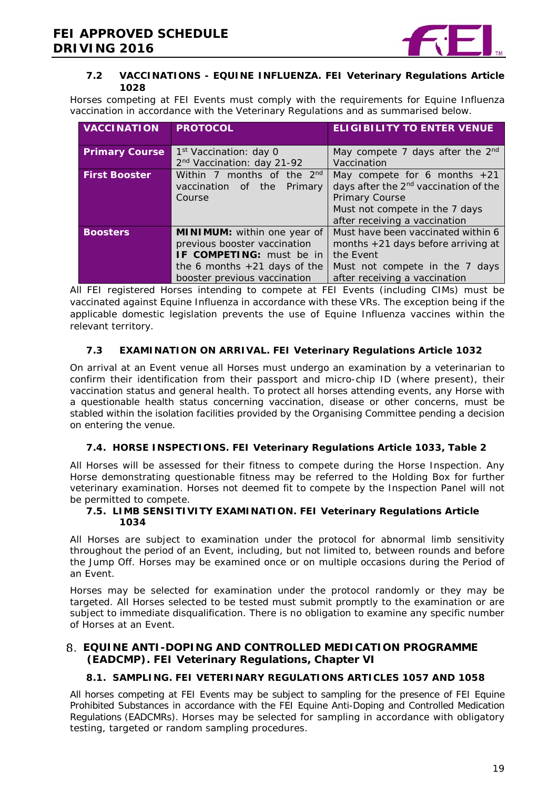

#### **7.2 VACCINATIONS - EQUINE INFLUENZA. FEI Veterinary Regulations Article 1028**

Horses competing at FEI Events must comply with the requirements for Equine Influenza vaccination in accordance with the Veterinary Regulations and as summarised below.

| <b>VACCINATION</b>    | <b>PROTOCOL</b>                        | <b>ELIGIBILITY TO ENTER VENUE</b>                 |
|-----------------------|----------------------------------------|---------------------------------------------------|
|                       |                                        |                                                   |
| <b>Primary Course</b> | 1 <sup>st</sup> Vaccination: day 0     | May compete 7 days after the $2nd$                |
|                       | 2 <sup>nd</sup> Vaccination: day 21-92 | Vaccination                                       |
| <b>First Booster</b>  | Within 7 months of the 2nd             | May compete for 6 months $+21$                    |
|                       | vaccination of the<br>Primary          | days after the 2 <sup>nd</sup> vaccination of the |
|                       | Course                                 | Primary Course                                    |
|                       |                                        | Must not compete in the 7 days                    |
|                       |                                        | after receiving a vaccination                     |
| <b>Boosters</b>       | MINIMUM: within one year of            | Must have been vaccinated within 6                |
|                       | previous booster vaccination           | months $+21$ days before arriving at              |
|                       | <b>IF COMPETING:</b> must be in        | the Event                                         |
|                       | the 6 months $+21$ days of the         | Must not compete in the 7 days                    |
|                       | booster previous vaccination           | after receiving a vaccination                     |

All FEI registered Horses intending to compete at FEI Events (including CIMs) must be vaccinated against Equine Influenza in accordance with these VRs. The exception being if the applicable domestic legislation prevents the use of Equine Influenza vaccines within the relevant territory.

### **7.3 EXAMINATION ON ARRIVAL. FEI Veterinary Regulations Article 1032**

On arrival at an Event venue all Horses must undergo an examination by a veterinarian to confirm their identification from their passport and micro-chip ID (where present), their vaccination status and general health. To protect all horses attending events, any Horse with a questionable health status concerning vaccination, disease or other concerns, must be stabled within the isolation facilities provided by the Organising Committee pending a decision on entering the venue.

#### **7.4. HORSE INSPECTIONS. FEI Veterinary Regulations Article 1033, Table 2**

All Horses will be assessed for their fitness to compete during the Horse Inspection. Any Horse demonstrating questionable fitness may be referred to the Holding Box for further veterinary examination. Horses not deemed fit to compete by the Inspection Panel will not be permitted to compete.

#### **7.5. LIMB SENSITIVITY EXAMINATION. FEI Veterinary Regulations Article 1034**

All Horses are subject to examination under the protocol for abnormal limb sensitivity throughout the period of an Event, including, but not limited to, between rounds and before the Jump Off. Horses may be examined once or on multiple occasions during the Period of an Event.

Horses may be selected for examination under the protocol randomly or they may be targeted. All Horses selected to be tested must submit promptly to the examination or are subject to immediate disqualification. There is no obligation to examine any specific number of Horses at an Event.

### <span id="page-18-0"></span>**EQUINE ANTI-DOPING AND CONTROLLED MEDICATION PROGRAMME (EADCMP). FEI Veterinary Regulations, Chapter VI**

#### **8.1. SAMPLING. FEI VETERINARY REGULATIONS ARTICLES 1057 AND 1058**

All horses competing at FEI Events may be subject to sampling for the presence of FEI Equine Prohibited Substances in accordance with the FEI Equine Anti-Doping and Controlled Medication Regulations (EADCMRs). Horses may be selected for sampling in accordance with obligatory testing, targeted or random sampling procedures.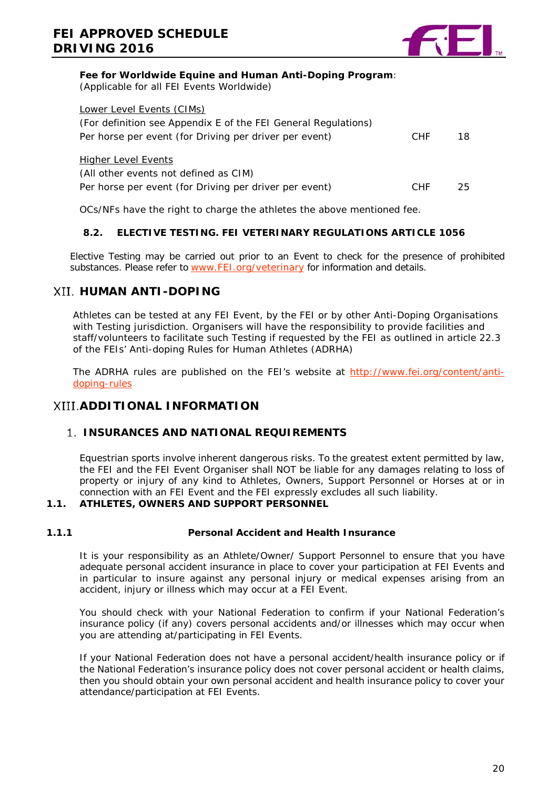

#### **Fee for Worldwide Equine and Human Anti-Doping Program**:

(Applicable for all FEI Events Worldwide)

| Lower Level Events (CIMs)                                      |            |     |
|----------------------------------------------------------------|------------|-----|
| (For definition see Appendix E of the FEI General Regulations) |            |     |
| Per horse per event (for Driving per driver per event)         | <b>CHF</b> | 18. |
| <b>Higher Level Events</b>                                     |            |     |
| (All other events not defined as CIM)                          |            |     |
| Per horse per event (for Driving per driver per event)         | <b>CHF</b> | 25. |
|                                                                |            |     |

OCs/NFs have the right to charge the athletes the above mentioned fee.

#### **8.2. ELECTIVE TESTING. FEI VETERINARY REGULATIONS ARTICLE 1056**

Elective Testing may be carried out prior to an Event to check for the presence of prohibited substances. Please refer to [www.FEI.org/veterinary](http://www.fei.org/veterinary) for information and details.

## <span id="page-19-0"></span>*XII. HUMAN ANTI-DOPING*

Athletes can be tested at any FEI Event, by the FEI or by other Anti-Doping Organisations with Testing jurisdiction. Organisers will have the responsibility to provide facilities and staff/volunteers to facilitate such Testing if requested by the FEI as outlined in article 22.3 of the FEIs' Anti-doping Rules for Human Athletes (ADRHA)

The ADRHA rules are published on the FEI's website at [http://www.fei.org/content/anti](http://www.fei.org/content/anti-doping-rules)[doping-rules](http://www.fei.org/content/anti-doping-rules)

## <span id="page-19-1"></span>*XIII.ADDITIONAL INFORMATION*

#### <span id="page-19-2"></span>**1. INSURANCES AND NATIONAL REQUIREMENTS**

Equestrian sports involve inherent dangerous risks. To the greatest extent permitted by law, the FEI and the FEI Event Organiser shall NOT be liable for any damages relating to loss of property or injury of any kind to Athletes, Owners, Support Personnel or Horses at or in connection with an FEI Event and the FEI expressly excludes all such liability.

#### **1.1. ATHLETES, OWNERS AND SUPPORT PERSONNEL**

#### **1.1.1 Personal Accident and Health Insurance**

It is your responsibility as an Athlete/Owner/ Support Personnel to ensure that you have adequate personal accident insurance in place to cover your participation at FEI Events and in particular to insure against any personal injury or medical expenses arising from an accident, injury or illness which may occur at a FEI Event.

You should check with your National Federation to confirm if your National Federation's insurance policy (if any) covers personal accidents and/or illnesses which may occur when you are attending at/participating in FEI Events.

If your National Federation does not have a personal accident/health insurance policy or if the National Federation's insurance policy does not cover personal accident or health claims, then you should obtain your own personal accident and health insurance policy to cover your attendance/participation at FEI Events.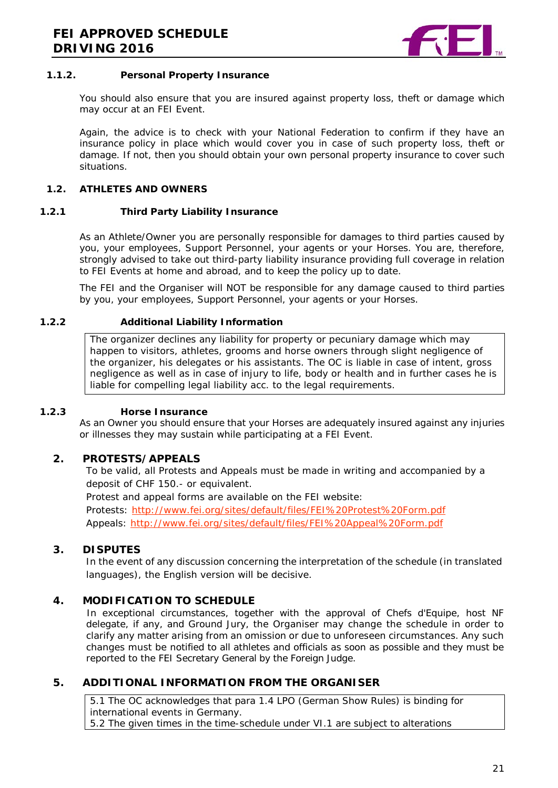

#### **1.1.2. Personal Property Insurance**

You should also ensure that you are insured against property loss, theft or damage which may occur at an FEI Event.

Again, the advice is to check with your National Federation to confirm if they have an insurance policy in place which would cover you in case of such property loss, theft or damage. If not, then you should obtain your own personal property insurance to cover such situations.

#### **1.2. ATHLETES AND OWNERS**

#### **1.2.1 Third Party Liability Insurance**

As an Athlete/Owner you are personally responsible for damages to third parties caused by you, your employees, Support Personnel, your agents or your Horses. You are, therefore, strongly advised to take out third-party liability insurance providing full coverage in relation to FEI Events at home and abroad, and to keep the policy up to date.

The FEI and the Organiser will NOT be responsible for any damage caused to third parties by you, your employees, Support Personnel, your agents or your Horses.

#### **1.2.2 Additional Liability Information**

The organizer declines any liability for property or pecuniary damage which may happen to visitors, athletes, grooms and horse owners through slight negligence of the organizer, his delegates or his assistants. The OC is liable in case of intent, gross negligence as well as in case of injury to life, body or health and in further cases he is liable for compelling legal liability acc. to the legal requirements.

#### **1.2.3 Horse Insurance**

As an Owner you should ensure that your Horses are adequately insured against any injuries or illnesses they may sustain while participating at a FEI Event.

#### <span id="page-20-0"></span>**2. PROTESTS/APPEALS**

To be valid, all Protests and Appeals must be made in writing and accompanied by a deposit of CHF 150.- or equivalent.

Protest and appeal forms are available on the FEI website:

Protests:<http://www.fei.org/sites/default/files/FEI%20Protest%20Form.pdf> Appeals:<http://www.fei.org/sites/default/files/FEI%20Appeal%20Form.pdf>

#### <span id="page-20-1"></span>**3. DISPUTES**

In the event of any discussion concerning the interpretation of the schedule (in translated languages), the English version will be decisive.

#### <span id="page-20-2"></span>**4. MODIFICATION TO SCHEDULE**

In exceptional circumstances, together with the approval of Chefs d'Equipe, host NF delegate, if any, and Ground Jury, the Organiser may change the schedule in order to clarify any matter arising from an omission or due to unforeseen circumstances. Any such changes must be notified to all athletes and officials as soon as possible and they must be reported to the FEI Secretary General by the Foreign Judge.

#### <span id="page-20-3"></span>**5. ADDITIONAL INFORMATION FROM THE ORGANISER**

5.1 The OC acknowledges that para 1.4 LPO (German Show Rules) is binding for international events in Germany. 5.2 The given times in the time-schedule under VI.1 are subject to alterations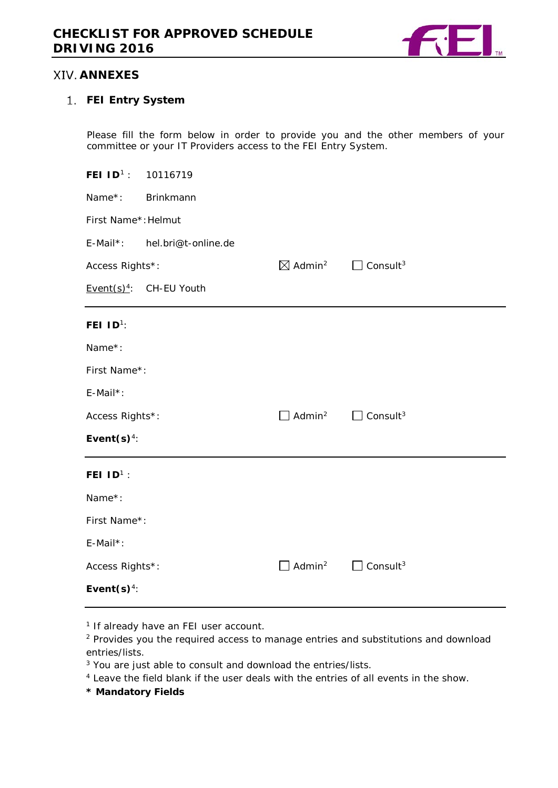

## <span id="page-21-0"></span>**XIV. ANNEXES**

### <span id="page-21-1"></span>**FEI Entry System**

Please fill the form below in order to provide you and the other members of your committee or your IT Providers access to the FEI Entry System.

| FEI ID <sup>1</sup> : 10116719 |                             |                                |                             |  |  |
|--------------------------------|-----------------------------|--------------------------------|-----------------------------|--|--|
| Name*:                         | Brinkmann                   |                                |                             |  |  |
|                                | First Name*: Helmut         |                                |                             |  |  |
| E-Mail*:                       | hel.bri@t-online.de         |                                |                             |  |  |
| Access Rights*:                |                             | $\boxtimes$ Admin <sup>2</sup> | $\Box$ Consult <sup>3</sup> |  |  |
|                                | Event $(s)^4$ : CH-EU Youth |                                |                             |  |  |
| FEI $1D^1$ :                   |                             |                                |                             |  |  |
| Name*:                         |                             |                                |                             |  |  |
| First Name*:                   |                             |                                |                             |  |  |
| E-Mail*:                       |                             |                                |                             |  |  |
| Access Rights*:                |                             | Admin <sup>2</sup>             | $\Box$ Consult <sup>3</sup> |  |  |
| Event $(s)^4$ :                |                             |                                |                             |  |  |
| FEI $1D^1$ :                   |                             |                                |                             |  |  |
| Name*:                         |                             |                                |                             |  |  |
| First Name*:                   |                             |                                |                             |  |  |
| E-Mail*:                       |                             |                                |                             |  |  |
| Access Rights*:                |                             | Admin <sup>2</sup>             | Consult <sup>3</sup>        |  |  |
| Event $(s)^4$ :                |                             |                                |                             |  |  |

<sup>1</sup> If already have an FEI user account.

<sup>2</sup> Provides you the required access to manage entries and substitutions and download entries/lists.

<sup>3</sup> You are just able to consult and download the entries/lists.

<sup>4</sup> Leave the field blank if the user deals with the entries of all events in the show.

**\* Mandatory Fields**